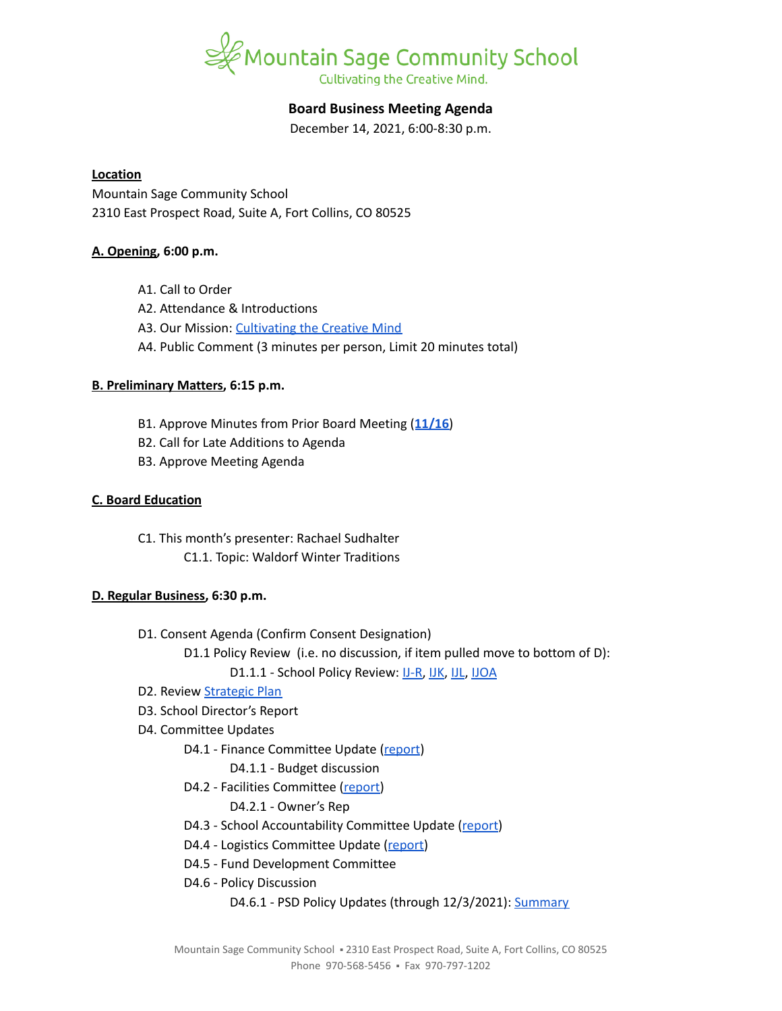

# **Board Business Meeting Agenda**

December 14, 2021, 6:00-8:30 p.m.

#### **Location**

Mountain Sage Community School 2310 East Prospect Road, Suite A, Fort Collins, CO 80525

### **A. Opening, 6:00 p.m.**

- A1. Call to Order
- A2. Attendance & Introductions
- A3. Our Mission: [Cultivating](https://www.mountainsage.org/about-us/mission-and-vision/) the Creative Mind
- A4. Public Comment (3 minutes per person, Limit 20 minutes total)

## **B. Preliminary Matters, 6:15 p.m.**

- B1. Approve Minutes from Prior Board Meeting (**[11/16](https://docs.google.com/document/d/1UWcOnVl6RAv8CdlwmMGpYr-O0sEVi4F1Zgp2dQSB3eA)**)
- B2. Call for Late Additions to Agenda
- B3. Approve Meeting Agenda

### **C. Board Education**

C1. This month's presenter: Rachael Sudhalter C1.1. Topic: Waldorf Winter Traditions

### **D. Regular Business, 6:30 p.m.**

- D1. Consent Agenda (Confirm Consent Designation)
	- D1.1 Policy Review (i.e. no discussion, if item pulled move to bottom of D):
		- D1.1.1 School Policy Review: **[IJ-R,](https://drive.google.com/open?id=1VhNjJtwlQdrlMJROr1fbZQEU7ISQtJioxeUDTl28MDQ) [IJK](https://drive.google.com/open?id=1TLgQ8pYEhh1_f_wu__BLZmvFUO2x9kZgpssrFo-vxGI), [IJL](https://docs.google.com/document/d/1fRdfF8w3vnJxj2pnuuVj52xbijDI6IsGv32Nxkfshi8/edit?usp=sharing), [IJOA](https://drive.google.com/open?id=127iMJeasFSKC9cgptf53Po-Lt65l7qPxlFaFTCDx8Bc)**
- D2. Review **[Strategic](https://docs.google.com/spreadsheets/d/1RR7z4DQ0Oq8Z29iw-TRpzfxcoDyemB4IFJY4Hpq8Y_k/edit?usp=sharing) Plan**
- D3. School Director's Report
- D4. Committee Updates
	- D4.1 Finance Committee Update ([report](https://docs.google.com/document/d/1kLtSjzhRNehQwrMlr9umwD8ecu97xeYzDIPWgTnNOUE/edit?usp=sharing))
		- D4.1.1 Budget discussion
	- D4.2 Facilities Committee [\(report\)](https://docs.google.com/document/d/14jDVaGnuBu8lEE1yYy-Coyw61KxVKASR6kdiONITq80/edit?usp=sharing)

# D4.2.1 - Owner's Rep

- D4.3 School Accountability Committee Update [\(report](https://docs.google.com/document/d/1ubbEB4CIYNrTMU37odbX4-VqKjMYiACsYZliY7R2N7E/edit?usp=sharing))
- D4.4 Logistics Committee Update ([report](https://docs.google.com/document/d/1sxQydpPYzJ0NYPMAe-qJE7toBuLuaaUIvMKBhmo96_w/edit?usp=sharing))
- D4.5 Fund Development Committee
- D4.6 Policy Discussion
	- D4.6.1 PSD Policy Updates (through 12/3/2021): [Summary](https://docs.google.com/document/d/1sh2mIh9maSvFrwmGwjP3tAeqILyz91bPH3JWiLFNvT8)